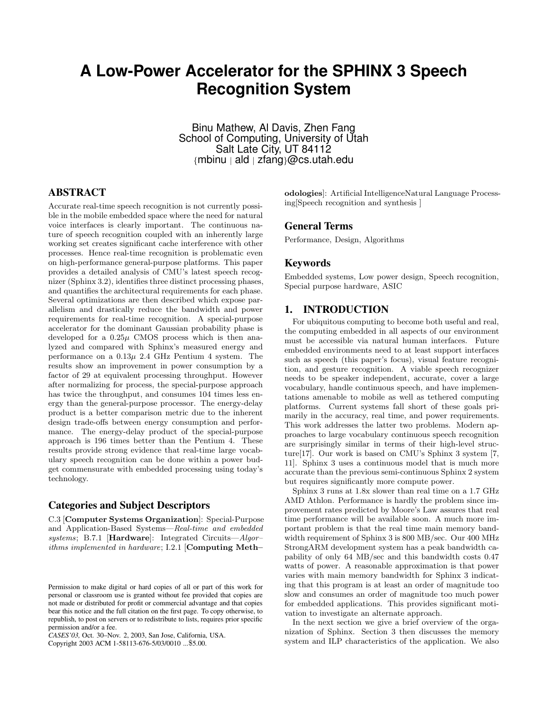# **A Low-Power Accelerator for the SPHINX 3 Speech Recognition System**

Binu Mathew, Al Davis, Zhen Fang School of Computing, University of Utah Salt Late City, UT 84112 {mbinu | ald | zfang}@cs.utah.edu

# **ABSTRACT**

Accurate real-time speech recognition is not currently possible in the mobile embedded space where the need for natural voice interfaces is clearly important. The continuous nature of speech recognition coupled with an inherently large working set creates significant cache interference with other processes. Hence real-time recognition is problematic even on high-performance general-purpose platforms. This paper provides a detailed analysis of CMU's latest speech recognizer (Sphinx 3.2), identifies three distinct processing phases, and quantifies the architectural requirements for each phase. Several optimizations are then described which expose parallelism and drastically reduce the bandwidth and power requirements for real-time recognition. A special-purpose accelerator for the dominant Gaussian probability phase is developed for a  $0.25\mu$  CMOS process which is then analyzed and compared with Sphinx's measured energy and performance on a  $0.13\mu$  2.4 GHz Pentium 4 system. The results show an improvement in power consumption by a factor of 29 at equivalent processing throughput. However after normalizing for process, the special-purpose approach has twice the throughput, and consumes 104 times less energy than the general-purpose processor. The energy-delay product is a better comparison metric due to the inherent design trade-offs between energy consumption and performance. The energy-delay product of the special-purpose approach is 196 times better than the Pentium 4. These results provide strong evidence that real-time large vocabulary speech recognition can be done within a power budget commensurate with embedded processing using today's technology.

## **Categories and Subject Descriptors**

C.3 [Computer Systems Organization]: Special-Purpose and Application-Based Systems—Real-time and embedded systems; B.7.1 [Hardware]: Integrated Circuits—Algor– ithms implemented in hardware; I.2.1 [Computing Meth–

*CASES'03,* Oct. 30–Nov. 2, 2003, San Jose, California, USA.

Copyright 2003 ACM 1-58113-676-5/03/0010 ...\$5.00.

odologies]: Artificial IntelligenceNatural Language Processing[Speech recognition and synthesis ]

## **General Terms**

Performance, Design, Algorithms

#### **Keywords**

Embedded systems, Low power design, Speech recognition, Special purpose hardware, ASIC

## **1. INTRODUCTION**

For ubiquitous computing to become both useful and real, the computing embedded in all aspects of our environment must be accessible via natural human interfaces. Future embedded environments need to at least support interfaces such as speech (this paper's focus), visual feature recognition, and gesture recognition. A viable speech recognizer needs to be speaker independent, accurate, cover a large vocabulary, handle continuous speech, and have implementations amenable to mobile as well as tethered computing platforms. Current systems fall short of these goals primarily in the accuracy, real time, and power requirements. This work addresses the latter two problems. Modern approaches to large vocabulary continuous speech recognition are surprisingly similar in terms of their high-level structure[17]. Our work is based on CMU's Sphinx 3 system [7, 11]. Sphinx 3 uses a continuous model that is much more accurate than the previous semi-continuous Sphinx 2 system but requires significantly more compute power.

Sphinx 3 runs at 1.8x slower than real time on a 1.7 GHz AMD Athlon. Performance is hardly the problem since improvement rates predicted by Moore's Law assures that real time performance will be available soon. A much more important problem is that the real time main memory bandwidth requirement of Sphinx 3 is 800 MB/sec. Our 400 MHz StrongARM development system has a peak bandwidth capability of only 64 MB/sec and this bandwidth costs 0.47 watts of power. A reasonable approximation is that power varies with main memory bandwidth for Sphinx 3 indicating that this program is at least an order of magnitude too slow and consumes an order of magnitude too much power for embedded applications. This provides significant motivation to investigate an alternate approach.

In the next section we give a brief overview of the organization of Sphinx. Section 3 then discusses the memory system and ILP characteristics of the application. We also

Permission to make digital or hard copies of all or part of this work for personal or classroom use is granted without fee provided that copies are not made or distributed for profit or commercial advantage and that copies bear this notice and the full citation on the first page. To copy otherwise, to republish, to post on servers or to redistribute to lists, requires prior specific permission and/or a fee.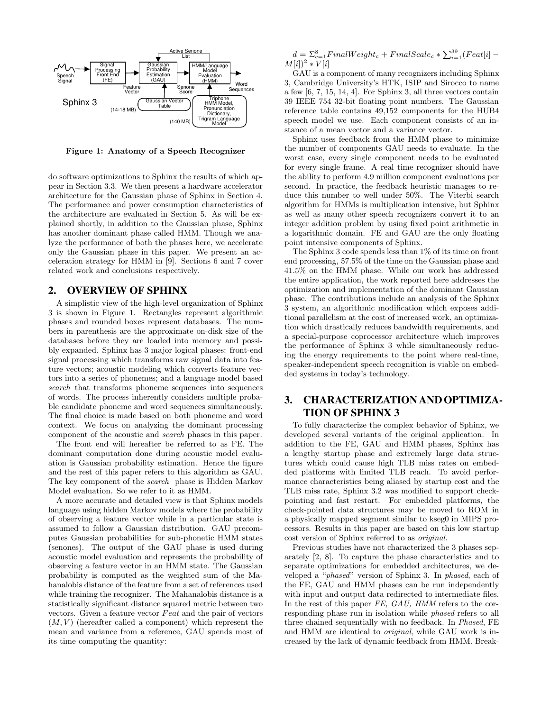

Figure 1: Anatomy of a Speech Recognizer

do software optimizations to Sphinx the results of which appear in Section 3.3. We then present a hardware accelerator architecture for the Gaussian phase of Sphinx in Section 4. The performance and power consumption characteristics of the architecture are evaluated in Section 5. As will be explained shortly, in addition to the Gaussian phase, Sphinx has another dominant phase called HMM. Though we analyze the performance of both the phases here, we accelerate only the Gaussian phase in this paper. We present an acceleration strategy for HMM in [9]. Sections 6 and 7 cover related work and conclusions respectively.

# **2. OVERVIEW OF SPHINX**

A simplistic view of the high-level organization of Sphinx 3 is shown in Figure 1. Rectangles represent algorithmic phases and rounded boxes represent databases. The numbers in parenthesis are the approximate on-disk size of the databases before they are loaded into memory and possibly expanded. Sphinx has 3 major logical phases: front-end signal processing which transforms raw signal data into feature vectors; acoustic modeling which converts feature vectors into a series of phonemes; and a language model based search that transforms phoneme sequences into sequences of words. The process inherently considers multiple probable candidate phoneme and word sequences simultaneously. The final choice is made based on both phoneme and word context. We focus on analyzing the dominant processing component of the acoustic and search phases in this paper.

The front end will hereafter be referred to as FE. The dominant computation done during acoustic model evaluation is Gaussian probability estimation. Hence the figure and the rest of this paper refers to this algorithm as GAU. The key component of the search phase is Hidden Markov Model evaluation. So we refer to it as HMM.

A more accurate and detailed view is that Sphinx models language using hidden Markov models where the probability of observing a feature vector while in a particular state is assumed to follow a Gaussian distribution. GAU precomputes Gaussian probabilities for sub-phonetic HMM states (senones). The output of the GAU phase is used during acoustic model evaluation and represents the probability of observing a feature vector in an HMM state. The Gaussian probability is computed as the weighted sum of the Mahanalobis distance of the feature from a set of references used while training the recognizer. The Mahanalobis distance is a statistically significant distance squared metric between two vectors. Given a feature vector Feat and the pair of vectors  $(M, V)$  (hereafter called a component) which represent the mean and variance from a reference, GAU spends most of its time computing the quantity:

 $d = \sum_{c=1}^{8} FinalWeight_c + FinalScale_c * \sum_{i=1}^{39} (Feat[i] M[i])^2 * V[i]$ 

GAU is a component of many recognizers including Sphinx 3, Cambridge University's HTK, ISIP and Sirocco to name a few [6, 7, 15, 14, 4]. For Sphinx 3, all three vectors contain 39 IEEE 754 32-bit floating point numbers. The Gaussian reference table contains 49,152 components for the HUB4 speech model we use. Each component consists of an instance of a mean vector and a variance vector.

Sphinx uses feedback from the HMM phase to minimize the number of components GAU needs to evaluate. In the worst case, every single component needs to be evaluated for every single frame. A real time recognizer should have the ability to perform 4.9 million component evaluations per second. In practice, the feedback heuristic manages to reduce this number to well under 50%. The Viterbi search algorithm for HMMs is multiplication intensive, but Sphinx as well as many other speech recognizers convert it to an integer addition problem by using fixed point arithmetic in a logarithmic domain. FE and GAU are the only floating point intensive components of Sphinx.

The Sphinx 3 code spends less than 1% of its time on front end processing, 57.5% of the time on the Gaussian phase and 41.5% on the HMM phase. While our work has addressed the entire application, the work reported here addresses the optimization and implementation of the dominant Gaussian phase. The contributions include an analysis of the Sphinx 3 system, an algorithmic modification which exposes additional parallelism at the cost of increased work, an optimization which drastically reduces bandwidth requirements, and a special-purpose coprocessor architecture which improves the performance of Sphinx 3 while simultaneously reducing the energy requirements to the point where real-time, speaker-independent speech recognition is viable on embedded systems in today's technology.

# **3. CHARACTERIZATION ANDOPTIMIZA-TION OF SPHINX 3**

To fully characterize the complex behavior of Sphinx, we developed several variants of the original application. In addition to the FE, GAU and HMM phases, Sphinx has a lengthy startup phase and extremely large data structures which could cause high TLB miss rates on embedded platforms with limited TLB reach. To avoid performance characteristics being aliased by startup cost and the TLB miss rate, Sphinx 3.2 was modified to support checkpointing and fast restart. For embedded platforms, the check-pointed data structures may be moved to ROM in a physically mapped segment similar to kseg0 in MIPS processors. Results in this paper are based on this low startup cost version of Sphinx referred to as original.

Previous studies have not characterized the 3 phases separately [2, 8]. To capture the phase characteristics and to separate optimizations for embedded architectures, we developed a "phased" version of Sphinx 3. In phased, each of the FE, GAU and HMM phases can be run independently with input and output data redirected to intermediate files. In the rest of this paper FE, GAU, HMM refers to the corresponding phase run in isolation while phased refers to all three chained sequentially with no feedback. In Phased, FE and HMM are identical to original, while GAU work is increased by the lack of dynamic feedback from HMM. Break-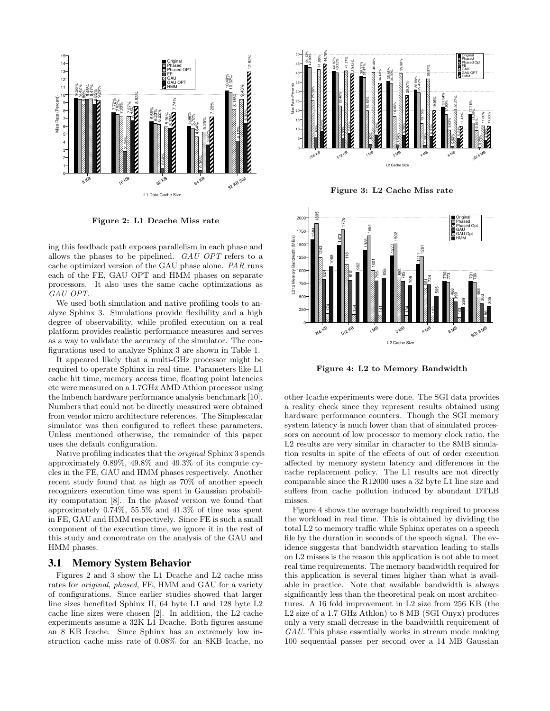

Figure 2: L1 Dcache Miss rate

ing this feedback path exposes parallelism in each phase and allows the phases to be pipelined. GAU OPT refers to a cache optimized version of the GAU phase alone. PAR runs each of the FE, GAU OPT and HMM phases on separate processors. It also uses the same cache optimizations as GAU OPT.

We used both simulation and native profiling tools to analyze Sphinx 3. Simulations provide flexibility and a high degree of observability, while profiled execution on a real platform provides realistic performance measures and serves as a way to validate the accuracy of the simulator. The configurations used to analyze Sphinx 3 are shown in Table 1.

It appeared likely that a multi-GHz processor might be required to operate Sphinx in real time. Parameters like L1 cache hit time, memory access time, floating point latencies etc were measured on a 1.7GHz AMD Athlon processor using the lmbench hardware performance analysis benchmark [10]. Numbers that could not be directly measured were obtained from vendor micro architecture references. The Simplescalar simulator was then configured to reflect these parameters. Unless mentioned otherwise, the remainder of this paper uses the default configuration.

Native profiling indicates that the original Sphinx 3 spends approximately 0.89%, 49.8% and 49.3% of its compute cycles in the FE, GAU and HMM phases respectively. Another recent study found that as high as 70% of another speech recognizers execution time was spent in Gaussian probability computation [8]. In the phased version we found that approximately 0.74%, 55.5% and 41.3% of time was spent in FE, GAU and HMM respectively. Since FE is such a small component of the execution time, we ignore it in the rest of this study and concentrate on the analysis of the GAU and HMM phases.

#### **3.1 Memory System Behavior**

Figures 2 and 3 show the L1 Dcache and L2 cache miss rates for original, phased, FE, HMM and GAU for a variety of configurations. Since earlier studies showed that larger line sizes benefited Sphinx II, 64 byte L1 and 128 byte L2 cache line sizes were chosen [2]. In addition, the L2 cache experiments assume a 32K L1 Dcache. Both figures assume an 8 KB Icache. Since Sphinx has an extremely low instruction cache miss rate of 0.08% for an 8KB Icache, no



Figure 3: L2 Cache Miss rate



Figure 4: L2 to Memory Bandwidth

other Icache experiments were done. The SGI data provides a reality check since they represent results obtained using hardware performance counters. Though the SGI memory system latency is much lower than that of simulated processors on account of low processor to memory clock ratio, the L2 results are very similar in character to the 8MB simulation results in spite of the effects of out of order execution affected by memory system latency and differences in the cache replacement policy. The L1 results are not directly comparable since the R12000 uses a 32 byte L1 line size and suffers from cache pollution induced by abundant DTLB misses.

Figure 4 shows the average bandwidth required to process the workload in real time. This is obtained by dividing the total L2 to memory traffic while Sphinx operates on a speech file by the duration in seconds of the speech signal. The evidence suggests that bandwidth starvation leading to stalls on L2 misses is the reason this application is not able to meet real time requirements. The memory bandwidth required for this application is several times higher than what is available in practice. Note that available bandwidth is always significantly less than the theoretical peak on most architectures. A 16 fold improvement in L2 size from 256 KB (the L2 size of a 1.7 GHz Athlon) to 8 MB (SGI Onyx) produces only a very small decrease in the bandwidth requirement of GAU. This phase essentially works in stream mode making 100 sequential passes per second over a 14 MB Gaussian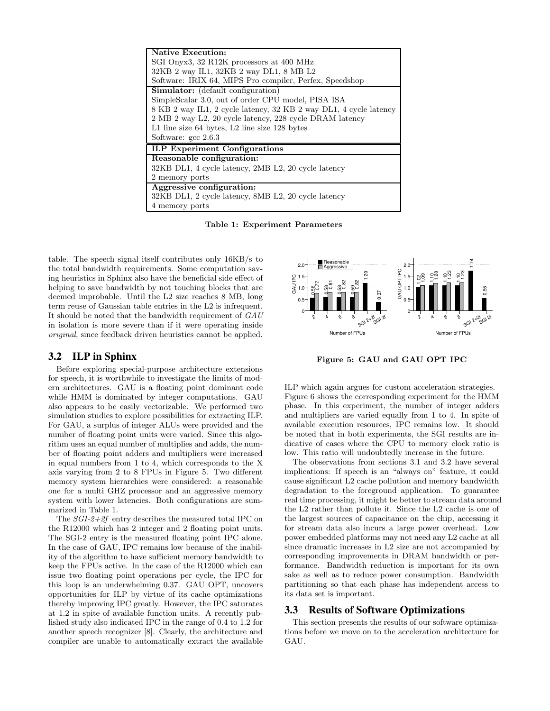| Native Execution:                                                 |
|-------------------------------------------------------------------|
| SGI Onyx3, 32 R12K processors at 400 MHz                          |
| 32KB 2 way IL1, 32KB 2 way DL1, 8 MB L2                           |
| Software: IRIX 64, MIPS Pro compiler, Perfex, Speedshop           |
| <b>Simulator:</b> (default configuration)                         |
| SimpleScalar 3.0, out of order CPU model, PISA ISA                |
| 8 KB 2 way IL1, 2 cycle latency, 32 KB 2 way DL1, 4 cycle latency |
| 2 MB 2 way L2, 20 cycle latency, 228 cycle DRAM latency           |
| L1 line size 64 bytes, L2 line size 128 bytes                     |
| Software: gcc 2.6.3                                               |
| <b>ILP Experiment Configurations</b>                              |
| Reasonable configuration:                                         |
| 32KB DL1, 4 cycle latency, 2MB L2, 20 cycle latency               |
| 2 memory ports                                                    |
| Aggressive configuration:                                         |
| 32KB DL1, 2 cycle latency, 8MB L2, 20 cycle latency               |
| 4 memory ports                                                    |

Table 1: Experiment Parameters

table. The speech signal itself contributes only 16KB/s to the total bandwidth requirements. Some computation saving heuristics in Sphinx also have the beneficial side effect of helping to save bandwidth by not touching blocks that are deemed improbable. Until the L2 size reaches 8 MB, long term reuse of Gaussian table entries in the L2 is infrequent. It should be noted that the bandwidth requirement of GAU in isolation is more severe than if it were operating inside original, since feedback driven heuristics cannot be applied.

### **3.2 ILP in Sphinx**

Before exploring special-purpose architecture extensions for speech, it is worthwhile to investigate the limits of modern architectures. GAU is a floating point dominant code while HMM is dominated by integer computations. GAU also appears to be easily vectorizable. We performed two simulation studies to explore possibilities for extracting ILP. For GAU, a surplus of integer ALUs were provided and the number of floating point units were varied. Since this algorithm uses an equal number of multiplies and adds, the number of floating point adders and multipliers were increased in equal numbers from 1 to 4, which corresponds to the X axis varying from 2 to 8 FPUs in Figure 5. Two different memory system hierarchies were considered: a reasonable one for a multi GHZ processor and an aggressive memory system with lower latencies. Both configurations are summarized in Table 1.

The SGI-2+2f entry describes the measured total IPC on the R12000 which has 2 integer and 2 floating point units. The SGI-2 entry is the measured floating point IPC alone. In the case of GAU, IPC remains low because of the inability of the algorithm to have sufficient memory bandwidth to keep the FPUs active. In the case of the R12000 which can issue two floating point operations per cycle, the IPC for this loop is an underwhelming 0.37. GAU OPT, uncovers opportunities for ILP by virtue of its cache optimizations thereby improving IPC greatly. However, the IPC saturates at 1.2 in spite of available function units. A recently published study also indicated IPC in the range of 0.4 to 1.2 for another speech recognizer [8]. Clearly, the architecture and compiler are unable to automatically extract the available



Figure 5: GAU and GAU OPT IPC

ILP which again argues for custom acceleration strategies. Figure 6 shows the corresponding experiment for the HMM phase. In this experiment, the number of integer adders and multipliers are varied equally from 1 to 4. In spite of available execution resources, IPC remains low. It should be noted that in both experiments, the SGI results are indicative of cases where the CPU to memory clock ratio is low. This ratio will undoubtedly increase in the future.

The observations from sections 3.1 and 3.2 have several implications: If speech is an "always on" feature, it could cause significant L2 cache pollution and memory bandwidth degradation to the foreground application. To guarantee real time processing, it might be better to stream data around the L2 rather than pollute it. Since the L2 cache is one of the largest sources of capacitance on the chip, accessing it for stream data also incurs a large power overhead. Low power embedded platforms may not need any L2 cache at all since dramatic increases in L2 size are not accompanied by corresponding improvements in DRAM bandwidth or performance. Bandwidth reduction is important for its own sake as well as to reduce power consumption. Bandwidth partitioning so that each phase has independent access to its data set is important.

#### **3.3 Results of Software Optimizations**

This section presents the results of our software optimizations before we move on to the acceleration architecture for GAU.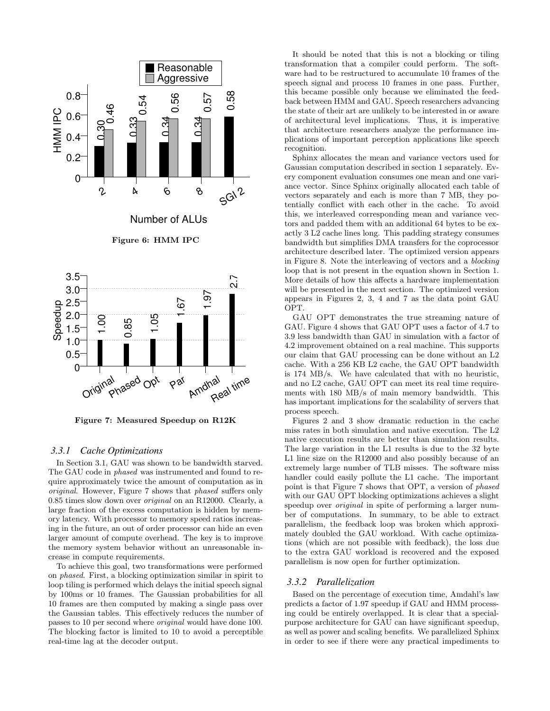

Figure 7: Measured Speedup on R12K

#### *3.3.1 Cache Optimizations*

In Section 3.1, GAU was shown to be bandwidth starved. The GAU code in phased was instrumented and found to require approximately twice the amount of computation as in original. However, Figure 7 shows that phased suffers only 0.85 times slow down over original on an R12000. Clearly, a large fraction of the excess computation is hidden by memory latency. With processor to memory speed ratios increasing in the future, an out of order processor can hide an even larger amount of compute overhead. The key is to improve the memory system behavior without an unreasonable increase in compute requirements.

To achieve this goal, two transformations were performed on phased. First, a blocking optimization similar in spirit to loop tiling is performed which delays the initial speech signal by 100ms or 10 frames. The Gaussian probabilities for all 10 frames are then computed by making a single pass over the Gaussian tables. This effectively reduces the number of passes to 10 per second where original would have done 100. The blocking factor is limited to 10 to avoid a perceptible real-time lag at the decoder output.

It should be noted that this is not a blocking or tiling transformation that a compiler could perform. The software had to be restructured to accumulate 10 frames of the speech signal and process 10 frames in one pass. Further, this became possible only because we eliminated the feedback between HMM and GAU. Speech researchers advancing the state of their art are unlikely to be interested in or aware of architectural level implications. Thus, it is imperative that architecture researchers analyze the performance implications of important perception applications like speech recognition.

Sphinx allocates the mean and variance vectors used for Gaussian computation described in section 1 separately. Every component evaluation consumes one mean and one variance vector. Since Sphinx originally allocated each table of vectors separately and each is more than 7 MB, they potentially conflict with each other in the cache. To avoid this, we interleaved corresponding mean and variance vectors and padded them with an additional 64 bytes to be exactly 3 L2 cache lines long. This padding strategy consumes bandwidth but simplifies DMA transfers for the coprocessor architecture described later. The optimized version appears in Figure 8. Note the interleaving of vectors and a blocking loop that is not present in the equation shown in Section 1. More details of how this affects a hardware implementation will be presented in the next section. The optimized version appears in Figures 2, 3, 4 and 7 as the data point GAU OPT.

GAU OPT demonstrates the true streaming nature of GAU. Figure 4 shows that GAU OPT uses a factor of 4.7 to 3.9 less bandwidth than GAU in simulation with a factor of 4.2 improvement obtained on a real machine. This supports our claim that GAU processing can be done without an L2 cache. With a 256 KB L2 cache, the GAU OPT bandwidth is 174 MB/s. We have calculated that with no heuristic, and no L2 cache, GAU OPT can meet its real time requirements with 180 MB/s of main memory bandwidth. This has important implications for the scalability of servers that process speech.

Figures 2 and 3 show dramatic reduction in the cache miss rates in both simulation and native execution. The L2 native execution results are better than simulation results. The large variation in the L1 results is due to the 32 byte L1 line size on the R12000 and also possibly because of an extremely large number of TLB misses. The software miss handler could easily pollute the L1 cache. The important point is that Figure 7 shows that OPT, a version of phased with our GAU OPT blocking optimizations achieves a slight speedup over original in spite of performing a larger number of computations. In summary, to be able to extract parallelism, the feedback loop was broken which approximately doubled the GAU workload. With cache optimizations (which are not possible with feedback), the loss due to the extra GAU workload is recovered and the exposed parallelism is now open for further optimization.

#### *3.3.2 Parallelization*

Based on the percentage of execution time, Amdahl's law predicts a factor of 1.97 speedup if GAU and HMM processing could be entirely overlapped. It is clear that a specialpurpose architecture for GAU can have significant speedup, as well as power and scaling benefits. We parallelized Sphinx in order to see if there were any practical impediments to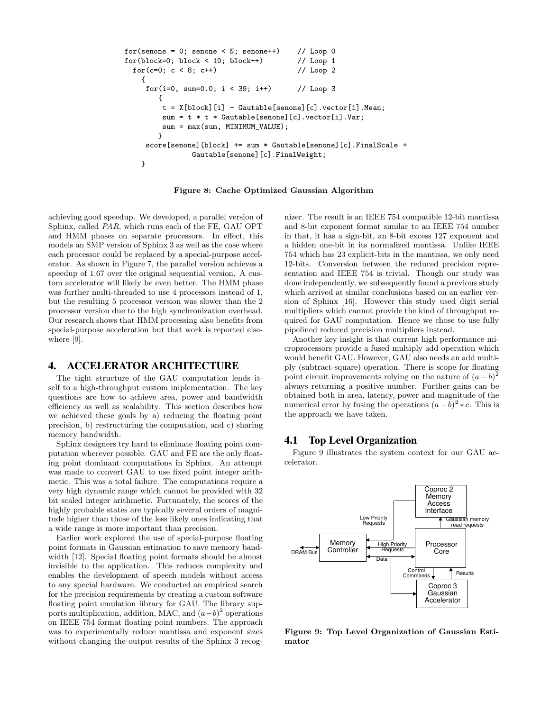```
for(senone = 0; senone < N; senone++) // Loop 0
for(block=0; block < 10; block++) // Loop 1
  for(c=0; c < 8; c++) // Loop 2
    {
     for(i=0, sum=0.0; i < 39; i++) // Loop 3
         {
          t = X[block][i] - Gautable[senone][c].vector[i].Mean;
          \texttt{sum} = \texttt{t} * \texttt{t} * \texttt{Gauthle} \texttt{[senone]} \texttt{[c]} \texttt{.vector} \texttt{[i]} \texttt{.Var};sum = max(sum, MINIMUM_VALUE);
         }
     score[senone][block] += sum * Gautable[senone][c].FinalScale +
                  Gautable[senone][c].FinalWeight;
    }
```
Figure 8: Cache Optimized Gaussian Algorithm

achieving good speedup. We developed, a parallel version of Sphinx, called PAR, which runs each of the FE, GAU OPT and HMM phases on separate processors. In effect, this models an SMP version of Sphinx 3 as well as the case where each processor could be replaced by a special-purpose accelerator. As shown in Figure 7, the parallel version achieves a speedup of 1.67 over the original sequential version. A custom accelerator will likely be even better. The HMM phase was further multi-threaded to use 4 processors instead of 1, but the resulting 5 processor version was slower than the 2 processor version due to the high synchronization overhead. Our research shows that HMM processing also benefits from special-purpose acceleration but that work is reported elsewhere [9].

#### **4. ACCELERATOR ARCHITECTURE**

The tight structure of the GAU computation lends itself to a high-throughput custom implementation. The key questions are how to achieve area, power and bandwidth efficiency as well as scalability. This section describes how we achieved these goals by a) reducing the floating point precision, b) restructuring the computation, and c) sharing memory bandwidth.

Sphinx designers try hard to eliminate floating point computation wherever possible. GAU and FE are the only floating point dominant computations in Sphinx. An attempt was made to convert GAU to use fixed point integer arithmetic. This was a total failure. The computations require a very high dynamic range which cannot be provided with 32 bit scaled integer arithmetic. Fortunately, the scores of the highly probable states are typically several orders of magnitude higher than those of the less likely ones indicating that a wide range is more important than precision.

Earlier work explored the use of special-purpose floating point formats in Gaussian estimation to save memory bandwidth [12]. Special floating point formats should be almost invisible to the application. This reduces complexity and enables the development of speech models without access to any special hardware. We conducted an empirical search for the precision requirements by creating a custom software floating point emulation library for GAU. The library supports multiplication, addition, MAC, and  $(a-b)^2$  operations on IEEE 754 format floating point numbers. The approach was to experimentally reduce mantissa and exponent sizes without changing the output results of the Sphinx 3 recognizer. The result is an IEEE 754 compatible 12-bit mantissa and 8-bit exponent format similar to an IEEE 754 number in that, it has a sign-bit, an 8-bit excess 127 exponent and a hidden one-bit in its normalized mantissa. Unlike IEEE 754 which has 23 explicit-bits in the mantissa, we only need 12-bits. Conversion between the reduced precision representation and IEEE 754 is trivial. Though our study was done independently, we subsequently found a previous study which arrived at similar conclusions based on an earlier version of Sphinx [16]. However this study used digit serial multipliers which cannot provide the kind of throughput required for GAU computation. Hence we chose to use fully pipelined reduced precision multipliers instead.

Another key insight is that current high performance microprocessors provide a fused multiply add operation which would benefit GAU. However, GAU also needs an add multiply (subtract-square) operation. There is scope for floating point circuit improvements relying on the nature of  $(a - b)^2$ always returning a positive number. Further gains can be obtained both in area, latency, power and magnitude of the numerical error by fusing the operations  $(a - \breve{b})^2 * c$ . This is the approach we have taken.

## **4.1 Top Level Organization**

Figure 9 illustrates the system context for our GAU accelerator.



Figure 9: Top Level Organization of Gaussian Estimator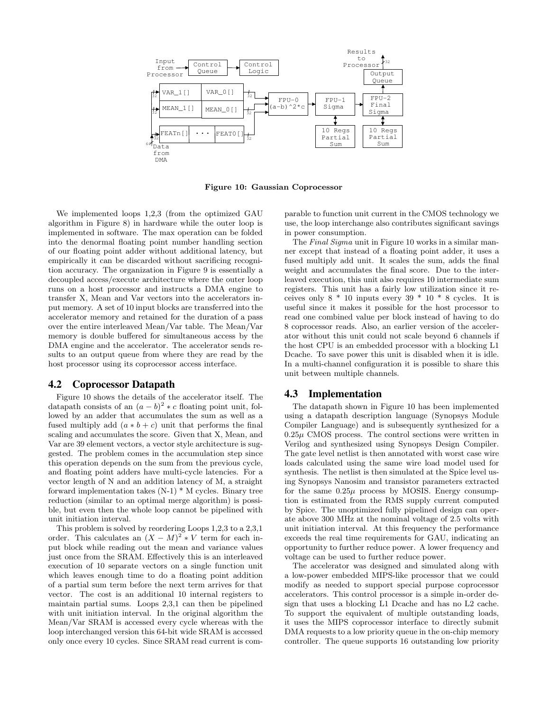

Figure 10: Gaussian Coprocessor

We implemented loops 1,2,3 (from the optimized GAU algorithm in Figure 8) in hardware while the outer loop is implemented in software. The max operation can be folded into the denormal floating point number handling section of our floating point adder without additional latency, but empirically it can be discarded without sacrificing recognition accuracy. The organization in Figure 9 is essentially a decoupled access/execute architecture where the outer loop runs on a host processor and instructs a DMA engine to transfer X, Mean and Var vectors into the accelerators input memory. A set of 10 input blocks are transferred into the accelerator memory and retained for the duration of a pass over the entire interleaved Mean/Var table. The Mean/Var memory is double buffered for simultaneous access by the DMA engine and the accelerator. The accelerator sends results to an output queue from where they are read by the host processor using its coprocessor access interface.

#### **4.2 Coprocessor Datapath**

Figure 10 shows the details of the accelerator itself. The datapath consists of an  $(a - b)^2 * c$  floating point unit, followed by an adder that accumulates the sum as well as a fused multiply add  $(a * b + c)$  unit that performs the final scaling and accumulates the score. Given that X, Mean, and Var are 39 element vectors, a vector style architecture is suggested. The problem comes in the accumulation step since this operation depends on the sum from the previous cycle, and floating point adders have multi-cycle latencies. For a vector length of N and an addition latency of M, a straight forward implementation takes (N-1) \* M cycles. Binary tree reduction (similar to an optimal merge algorithm) is possible, but even then the whole loop cannot be pipelined with unit initiation interval.

This problem is solved by reordering Loops 1,2,3 to a 2,3,1 order. This calculates an  $(X - M)^2 * V$  term for each input block while reading out the mean and variance values just once from the SRAM. Effectively this is an interleaved execution of 10 separate vectors on a single function unit which leaves enough time to do a floating point addition of a partial sum term before the next term arrives for that vector. The cost is an additional 10 internal registers to maintain partial sums. Loops 2,3,1 can then be pipelined with unit initiation interval. In the original algorithm the Mean/Var SRAM is accessed every cycle whereas with the loop interchanged version this 64-bit wide SRAM is accessed only once every 10 cycles. Since SRAM read current is comparable to function unit current in the CMOS technology we use, the loop interchange also contributes significant savings in power consumption.

The Final Sigma unit in Figure 10 works in a similar manner except that instead of a floating point adder, it uses a fused multiply add unit. It scales the sum, adds the final weight and accumulates the final score. Due to the interleaved execution, this unit also requires 10 intermediate sum registers. This unit has a fairly low utilization since it receives only  $8 * 10$  inputs every  $39 * 10 * 8$  cycles. It is useful since it makes it possible for the host processor to read one combined value per block instead of having to do 8 coprocessor reads. Also, an earlier version of the accelerator without this unit could not scale beyond 6 channels if the host CPU is an embedded processor with a blocking L1 Dcache. To save power this unit is disabled when it is idle. In a multi-channel configuration it is possible to share this unit between multiple channels.

#### **4.3 Implementation**

The datapath shown in Figure 10 has been implemented using a datapath description language (Synopsys Module Compiler Language) and is subsequently synthesized for a  $0.25\mu$  CMOS process. The control sections were written in Verilog and synthesized using Synopsys Design Compiler. The gate level netlist is then annotated with worst case wire loads calculated using the same wire load model used for synthesis. The netlist is then simulated at the Spice level using Synopsys Nanosim and transistor parameters extracted for the same  $0.25\mu$  process by MOSIS. Energy consumption is estimated from the RMS supply current computed by Spice. The unoptimized fully pipelined design can operate above 300 MHz at the nominal voltage of 2.5 volts with unit initiation interval. At this frequency the performance exceeds the real time requirements for GAU, indicating an opportunity to further reduce power. A lower frequency and voltage can be used to further reduce power.

The accelerator was designed and simulated along with a low-power embedded MIPS-like processor that we could modify as needed to support special purpose coprocessor accelerators. This control processor is a simple in-order design that uses a blocking L1 Dcache and has no L2 cache. To support the equivalent of multiple outstanding loads, it uses the MIPS coprocessor interface to directly submit DMA requests to a low priority queue in the on-chip memory controller. The queue supports 16 outstanding low priority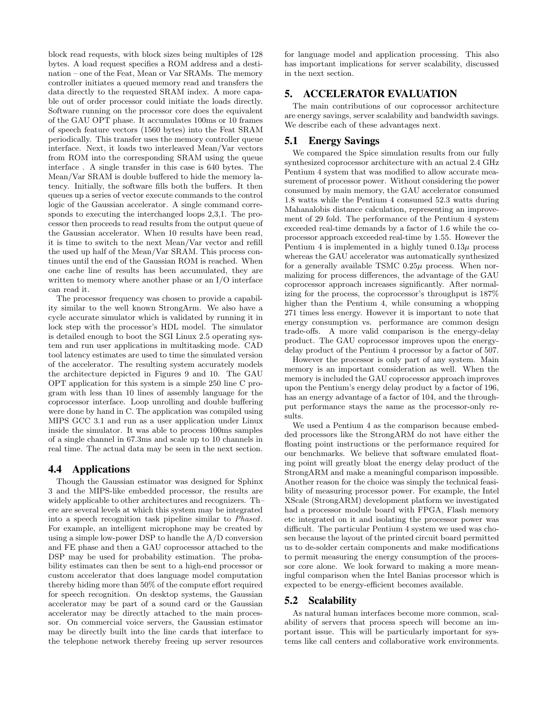block read requests, with block sizes being multiples of 128 bytes. A load request specifies a ROM address and a destination – one of the Feat, Mean or Var SRAMs. The memory controller initiates a queued memory read and transfers the data directly to the requested SRAM index. A more capable out of order processor could initiate the loads directly. Software running on the processor core does the equivalent of the GAU OPT phase. It accumulates 100ms or 10 frames of speech feature vectors (1560 bytes) into the Feat SRAM periodically. This transfer uses the memory controller queue interface. Next, it loads two interleaved Mean/Var vectors from ROM into the corresponding SRAM using the queue interface . A single transfer in this case is 640 bytes. The Mean/Var SRAM is double buffered to hide the memory latency. Initially, the software fills both the buffers. It then queues up a series of vector execute commands to the control logic of the Gaussian accelerator. A single command corresponds to executing the interchanged loops 2,3,1. The processor then proceeds to read results from the output queue of the Gaussian accelerator. When 10 results have been read, it is time to switch to the next Mean/Var vector and refill the used up half of the Mean/Var SRAM. This process continues until the end of the Gaussian ROM is reached. When one cache line of results has been accumulated, they are written to memory where another phase or an I/O interface can read it.

The processor frequency was chosen to provide a capability similar to the well known StrongArm. We also have a cycle accurate simulator which is validated by running it in lock step with the processor's HDL model. The simulator is detailed enough to boot the SGI Linux 2.5 operating system and run user applications in multitasking mode. CAD tool latency estimates are used to time the simulated version of the accelerator. The resulting system accurately models the architecture depicted in Figures 9 and 10. The GAU OPT application for this system is a simple 250 line C program with less than 10 lines of assembly language for the coprocessor interface. Loop unrolling and double buffering were done by hand in C. The application was compiled using MIPS GCC 3.1 and run as a user application under Linux inside the simulator. It was able to process 100ms samples of a single channel in 67.3ms and scale up to 10 channels in real time. The actual data may be seen in the next section.

#### **4.4 Applications**

Though the Gaussian estimator was designed for Sphinx 3 and the MIPS-like embedded processor, the results are widely applicable to other architectures and recognizers. Th– ere are several levels at which this system may be integrated into a speech recognition task pipeline similar to Phased. For example, an intelligent microphone may be created by using a simple low-power DSP to handle the A/D conversion and FE phase and then a GAU coprocessor attached to the DSP may be used for probability estimation. The probability estimates can then be sent to a high-end processor or custom accelerator that does language model computation thereby hiding more than 50% of the compute effort required for speech recognition. On desktop systems, the Gaussian accelerator may be part of a sound card or the Gaussian accelerator may be directly attached to the main processor. On commercial voice servers, the Gaussian estimator may be directly built into the line cards that interface to the telephone network thereby freeing up server resources

for language model and application processing. This also has important implications for server scalability, discussed in the next section.

## **5. ACCELERATOR EVALUATION**

The main contributions of our coprocessor architecture are energy savings, server scalability and bandwidth savings. We describe each of these advantages next.

## **5.1 Energy Savings**

We compared the Spice simulation results from our fully synthesized coprocessor architecture with an actual 2.4 GHz Pentium 4 system that was modified to allow accurate measurement of processor power. Without considering the power consumed by main memory, the GAU accelerator consumed 1.8 watts while the Pentium 4 consumed 52.3 watts during Mahanalobis distance calculation, representing an improvement of 29 fold. The performance of the Pentium 4 system exceeded real-time demands by a factor of 1.6 while the coprocessor approach exceeded real-time by 1.55. However the Pentium 4 is implemented in a highly tuned  $0.13\mu$  process whereas the GAU accelerator was automatically synthesized for a generally available TSMC  $0.25\mu$  process. When normalizing for process differences, the advantage of the GAU coprocessor approach increases significantly. After normalizing for the process, the coprocessor's throughput is 187% higher than the Pentium 4, while consuming a whopping 271 times less energy. However it is important to note that energy consumption vs. performance are common design trade-offs. A more valid comparison is the energy-delay product. The GAU coprocessor improves upon the energydelay product of the Pentium 4 processor by a factor of 507.

However the processor is only part of any system. Main memory is an important consideration as well. When the memory is included the GAU coprocessor approach improves upon the Pentium's energy delay product by a factor of 196, has an energy advantage of a factor of 104, and the throughput performance stays the same as the processor-only results.

We used a Pentium 4 as the comparison because embedded processors like the StrongARM do not have either the floating point instructions or the performance required for our benchmarks. We believe that software emulated floating point will greatly bloat the energy delay product of the StrongARM and make a meaningful comparison impossible. Another reason for the choice was simply the technical feasibility of measuring processor power. For example, the Intel XScale (StrongARM) development platform we investigated had a processor module board with FPGA, Flash memory etc integrated on it and isolating the processor power was difficult. The particular Pentium 4 system we used was chosen because the layout of the printed circuit board permitted us to de-solder certain components and make modifications to permit measuring the energy consumption of the processor core alone. We look forward to making a more meaningful comparison when the Intel Banias processor which is expected to be energy-efficient becomes available.

#### **5.2 Scalability**

As natural human interfaces become more common, scalability of servers that process speech will become an important issue. This will be particularly important for systems like call centers and collaborative work environments.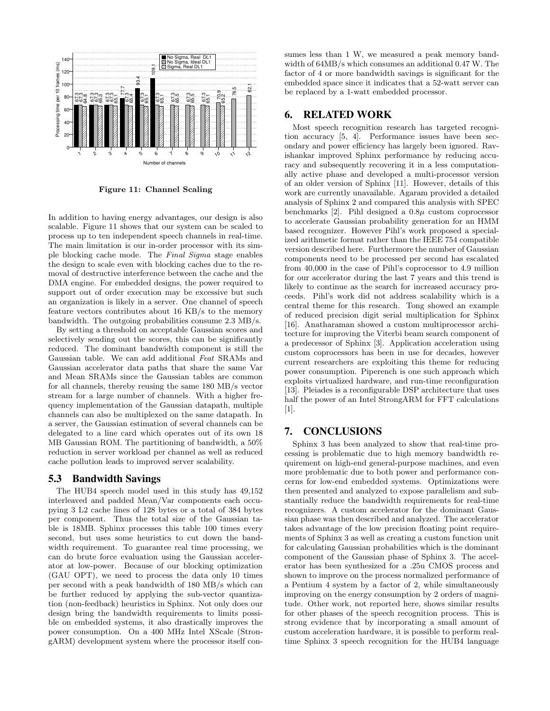

Figure 11: Channel Scaling

In addition to having energy advantages, our design is also scalable. Figure 11 shows that our system can be scaled to process up to ten independent speech channels in real-time. The main limitation is our in-order processor with its simple blocking cache mode. The Final Sigma stage enables the design to scale even with blocking caches due to the removal of destructive interference between the cache and the DMA engine. For embedded designs, the power required to support out of order execution may be excessive but such an organization is likely in a server. One channel of speech feature vectors contributes about 16 KB/s to the memory bandwidth. The outgoing probabilities consume 2.3 MB/s.

By setting a threshold on acceptable Gaussian scores and selectively sending out the scores, this can be significantly reduced. The dominant bandwidth component is still the Gaussian table. We can add additional Feat SRAMs and Gaussian accelerator data paths that share the same Var and Mean SRAMs since the Gaussian tables are common for all channels, thereby reusing the same 180 MB/s vector stream for a large number of channels. With a higher frequency implementation of the Gaussian datapath, multiple channels can also be multiplexed on the same datapath. In a server, the Gaussian estimation of several channels can be delegated to a line card which operates out of its own 18 MB Gaussian ROM. The partitioning of bandwidth, a 50% reduction in server workload per channel as well as reduced cache pollution leads to improved server scalability.

## **5.3 Bandwidth Savings**

The HUB4 speech model used in this study has 49,152 interleaved and padded Mean/Var components each occupying 3 L2 cache lines of 128 bytes or a total of 384 bytes per component. Thus the total size of the Gaussian table is 18MB. Sphinx processes this table 100 times every second, but uses some heuristics to cut down the bandwidth requirement. To guarantee real time processing, we can do brute force evaluation using the Gaussian accelerator at low-power. Because of our blocking optimization (GAU OPT), we need to process the data only 10 times per second with a peak bandwidth of 180 MB/s which can be further reduced by applying the sub-vector quantization (non-feedback) heuristics in Sphinx. Not only does our design bring the bandwidth requirements to limits possible on embedded systems, it also drastically improves the power consumption. On a 400 MHz Intel XScale (StrongARM) development system where the processor itself consumes less than 1 W, we measured a peak memory bandwidth of 64MB/s which consumes an additional 0.47 W. The factor of 4 or more bandwidth savings is significant for the embedded space since it indicates that a 52-watt server can be replaced by a 1-watt embedded processor.

## **6. RELATED WORK**

Most speech recognition research has targeted recognition accuracy [5, 4]. Performance issues have been secondary and power efficiency has largely been ignored. Ravishankar improved Sphinx performance by reducing accuracy and subsequently recovering it in a less computationally active phase and developed a multi-processor version of an older version of Sphinx [11]. However, details of this work are currently unavailable. Agaram provided a detailed analysis of Sphinx 2 and compared this analysis with SPEC benchmarks [2]. Pihl designed a  $0.8\mu$  custom coprocessor to accelerate Gaussian probability generation for an HMM based recognizer. However Pihl's work proposed a specialized arithmetic format rather than the IEEE 754 compatible version described here. Furthermore the number of Gaussian components need to be processed per second has escalated from 40,000 in the case of Pihl's coprocessor to 4.9 million for our accelerator during the last 7 years and this trend is likely to continue as the search for increased accuracy proceeds. Pihl's work did not address scalability which is a central theme for this research. Tong showed an example of reduced precision digit serial multiplication for Sphinx [16]. Anatharaman showed a custom multiprocessor architecture for improving the Viterbi beam search component of a predecessor of Sphinx [3]. Application acceleration using custom coprocessors has been in use for decades, however current researchers are exploiting this theme for reducing power consumption. Piperench is one such approach which exploits virtualized hardware, and run-time reconfiguration [13]. Pleiades is a reconfigurable DSP architecture that uses half the power of an Intel StrongARM for FFT calculations [1].

### **7. CONCLUSIONS**

Sphinx 3 has been analyzed to show that real-time processing is problematic due to high memory bandwidth requirement on high-end general-purpose machines, and even more problematic due to both power and performance concerns for low-end embedded systems. Optimizations were then presented and analyzed to expose parallelism and substantially reduce the bandwidth requirements for real-time recognizers. A custom accelerator for the dominant Gaussian phase was then described and analyzed. The accelerator takes advantage of the low precision floating point requirements of Sphinx 3 as well as creating a custom function unit for calculating Gaussian probabilities which is the dominant component of the Gaussian phase of Sphinx 3. The accelerator has been synthesized for a .25u CMOS process and shown to improve on the process normalized performance of a Pentium 4 system by a factor of 2, while simultaneously improving on the energy consumption by 2 orders of magnitude. Other work, not reported here, shows similar results for other phases of the speech recognition process. This is strong evidence that by incorporating a small amount of custom acceleration hardware, it is possible to perform realtime Sphinx 3 speech recognition for the HUB4 language